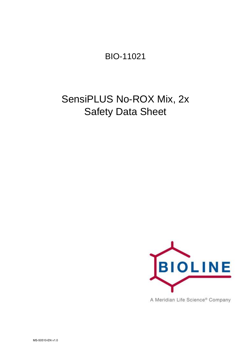BIO-11021

# SensiPLUS No-ROX Mix, 2x Safety Data Sheet



A Meridian Life Science® Company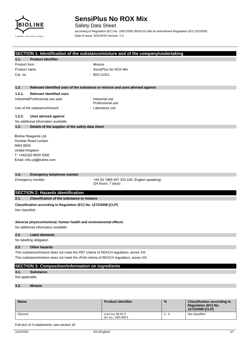

Safety Data Sheet

according to Regulation (EC) No. 1907/2006 (REACH) with its amendment Regulation (EU) 2015/830 Date of issue: 9/20/2016 Version: 1.0

#### **SECTION 1: Identification of the substance/mixture and of the company/undertaking**

## **1.1. Product identifier**

## Product form : Mixture

- 
- Product name  $\qquad \qquad :$  SensiPlus No ROX Mix Cat. no. : BIO-11021
- **1.2. Relevant identified uses of the substance or mixture and uses advised against**

#### **1.2.1. Relevant identified uses**

#### Industrial/Professional use spec : Industrial use

- Professional use
- Use of the substance/mixture in the substance in the set of the substance in the set of the substance in the substance in the set of the substance in the substance in the set of the set of the set of the set of the set of
- 

#### **1.2.2. Uses advised against**

No additional information available

#### **1.3. Details of the supplier of the safety data sheet**

Bioline Reagents Ltd. Humber Road London NW2 6EW United Kingdom T: +44(0)20 8830 5300 Email: info.uk@bioline.com

#### **1.4. Emergency telephone number**

Emergency number : +44 (0) 1865 407 333 (UK, English speaking) (24 hours, 7 days)

#### **SECTION 2: Hazards identification**

### **2.1. Classification of the substance or mixture**

**Classification according to Regulation (EC) No. 1272/2008 [CLP]**  Not classified

#### **Adverse physicochemical, human health and environmental effects**

No additional information available

#### **2.2. Label elements**

No labelling obligation.

#### **2.3. Other hazards**

This substance/mixture does not meet the PBT criteria of REACH regulation, annex XIII This substance/mixture does not meet the vPvB criteria of REACH regulation, annex XIII

#### **SECTION 3: Composition/information on ingredients**

#### **3.1. Substance**

Not applicable

#### **3.2. Mixture**

| <b>Name</b> | <b>Product identifier</b>              | $\%$    | <b>Classification according to</b><br><b>Regulation (EC) No.</b><br>1272/2008 [CLP] |
|-------------|----------------------------------------|---------|-------------------------------------------------------------------------------------|
| Glycerol    | (CAS No) 56-81-5<br>(EC No.) 200-289-5 | $3 - 5$ | Not classified                                                                      |

Full text of H-statements: see section 16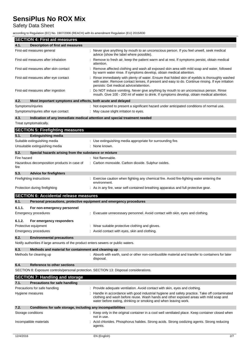## Safety Data Sheet

according to Regulation (EC) No. 1907/2006 (REACH) with its amendment Regulation (EU) 2015/830

| <b>SECTION 4: First aid measures</b>                                               |                                                                                                                                                                                                                                                          |
|------------------------------------------------------------------------------------|----------------------------------------------------------------------------------------------------------------------------------------------------------------------------------------------------------------------------------------------------------|
| 4.1.<br><b>Description of first aid measures</b>                                   |                                                                                                                                                                                                                                                          |
| First-aid measures general                                                         | : Never give anything by mouth to an unconscious person. If you feel unwell, seek medical<br>advice (show the label where possible).                                                                                                                     |
| First-aid measures after inhalation                                                | Remove to fresh air, keep the patient warm and at rest. If symptoms persist, obtain medical<br>attention.                                                                                                                                                |
| First-aid measures after skin contact                                              | Remove affected clothing and wash all exposed skin area with mild soap and water, followed<br>by warm water rinse. If symptoms develop, obtain medical attention.                                                                                        |
| First-aid measures after eye contact                                               | Rinse immediately with plenty of water. Ensure that folded skin of eyelids is thoroughly washed<br>with water. Remove contact lenses, if present and easy to do. Continue rinsing. If eye irritation<br>persists: Get medical advice/attention.          |
| First-aid measures after ingestion                                                 | Do NOT induce vomiting. Never give anything by mouth to an unconscious person. Rinse<br>mouth. Give 100 - 200 ml of water to drink. If symptoms develop, obtain medical attention.                                                                       |
| 4.2.<br>Most important symptoms and effects, both acute and delayed                |                                                                                                                                                                                                                                                          |
| Symptoms/injuries                                                                  | : Not expected to present a significant hazard under anticipated conditions of normal use.                                                                                                                                                               |
| Symptoms/injuries after eye contact                                                | : May cause slight irritation to eyes.                                                                                                                                                                                                                   |
| 4.3.                                                                               | Indication of any immediate medical attention and special treatment needed                                                                                                                                                                               |
| Treat symptomatically.                                                             |                                                                                                                                                                                                                                                          |
| <b>SECTION 5: Firefighting measures</b>                                            |                                                                                                                                                                                                                                                          |
| 5.1.<br><b>Extinguishing media</b>                                                 |                                                                                                                                                                                                                                                          |
| Suitable extinguishing media                                                       | Use extinguishing media appropriate for surrounding fire.                                                                                                                                                                                                |
| Unsuitable extinguishing media                                                     | None known.                                                                                                                                                                                                                                              |
| 5.2.<br>Special hazards arising from the substance or mixture                      |                                                                                                                                                                                                                                                          |
| Fire hazard                                                                        | : Not flammable.                                                                                                                                                                                                                                         |
| Hazardous decomposition products in case of                                        | : Carbon monoxide. Carbon dioxide. Sulphur oxides.                                                                                                                                                                                                       |
| fire                                                                               |                                                                                                                                                                                                                                                          |
| 5.3.<br><b>Advice for firefighters</b>                                             |                                                                                                                                                                                                                                                          |
| Firefighting instructions                                                          | Exercise caution when fighting any chemical fire. Avoid fire-fighting water entering the<br>environment.                                                                                                                                                 |
| Protection during firefighting                                                     | : As in any fire, wear self-contained breathing apparatus and full protective gear.                                                                                                                                                                      |
| <b>SECTION 6: Accidental release measures</b>                                      |                                                                                                                                                                                                                                                          |
| 6.1.                                                                               | Personal precautions, protective equipment and emergency procedures                                                                                                                                                                                      |
| 6.1.1.<br>For non-emergency personnel                                              |                                                                                                                                                                                                                                                          |
| Emergency procedures                                                               | Evacuate unnecessary personnel. Avoid contact with skin, eyes and clothing.                                                                                                                                                                              |
| 6.1.2.<br>For emergency responders                                                 |                                                                                                                                                                                                                                                          |
| Protective equipment                                                               | Wear suitable protective clothing and gloves                                                                                                                                                                                                             |
| Emergency procedures                                                               | : Avoid contact with eyes, skin and clothing.                                                                                                                                                                                                            |
| 6.2.<br><b>Environmental precautions</b>                                           |                                                                                                                                                                                                                                                          |
| Notify authorities if large amounts of the product enters sewers or public waters. |                                                                                                                                                                                                                                                          |
| 6.3.<br>Methods and material for containment and cleaning up                       |                                                                                                                                                                                                                                                          |
| Methods for cleaning up                                                            | : Absorb with earth, sand or other non-combustible material and transfer to containers for later<br>disposal.                                                                                                                                            |
| 6.4.<br>Reference to other sections                                                |                                                                                                                                                                                                                                                          |
|                                                                                    | SECTION 8: Exposure controls/personal protection. SECTION 13: Disposal considerations.                                                                                                                                                                   |
| <b>SECTION 7: Handling and storage</b>                                             |                                                                                                                                                                                                                                                          |
| 7.1.<br><b>Precautions for safe handling</b>                                       |                                                                                                                                                                                                                                                          |
| Precautions for safe handling                                                      | : Provide adequate ventilation. Avoid contact with skin, eyes and clothing.                                                                                                                                                                              |
| Hygiene measures                                                                   | Handle in accordance with good industrial hygiene and safety practice. Take off contaminated<br>clothing and wash before reuse. Wash hands and other exposed areas with mild soap and<br>water before eating, drinking or smoking and when leaving work. |
| 7.2.<br>Conditions for safe storage, including any incompatibilities               |                                                                                                                                                                                                                                                          |
| Storage conditions                                                                 | : Keep only in the original container in a cool well ventilated place. Keep container closed when<br>not in use.                                                                                                                                         |
| Incompatible materials                                                             | Acid chlorides. Phosphorus halides. Strong acids. Strong oxidizing agents. Strong reducing<br>agents.                                                                                                                                                    |
| 12/4/2016                                                                          | EN (English)<br>2/7                                                                                                                                                                                                                                      |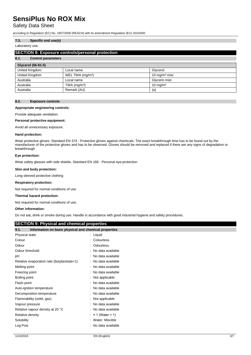### Safety Data Sheet

according to Regulation (EC) No. 1907/2006 (REACH) with its amendment Regulation (EU) 2015/830

### **7.3. Specific end use(s)**

#### Laboratory use.

#### **SECTION 8: Exposure controls/personal protection**

#### **8.1. Control parameters**

| Glycerol (56-81-5) |                              |                           |
|--------------------|------------------------------|---------------------------|
| United Kingdom     | Local name                   | Glycerol                  |
| United Kingdom     | WEL TWA (mg/m <sup>3</sup> ) | 10 mg/m <sup>3</sup> mist |
| Australia          | Local name                   | Glycerin mist             |
| Australia          | TWA $(mg/m3)$                | $10 \text{ mg/m}^3$       |
| Australia          | Remark (AU)                  | (a)                       |

#### **8.2. Exposure controls**

#### **Appropriate engineering controls:**

Provide adequate ventilation.

#### **Personal protective equipment:**

Avoid all unnecessary exposure.

#### **Hand protection:**

Wear protective gloves. Standard EN 374 - Protective gloves against chemicals. The exact breakthrough time has to be found out by the manufacturer of the protective gloves and has to be observed. Gloves should be removed and replaced if there are any signs of degradation or breakthrough

#### **Eye protection:**

Wear safety glasses with side shields. Standard EN 166 - Personal eye-protection

#### **Skin and body protection:**

Long sleeved protective clothing

#### **Respiratory protection:**

Not required for normal conditions of use

#### **Thermal hazard protection:**

Not required for normal conditions of use.

#### **Other information:**

Do not eat, drink or smoke during use. Handle in accordance with good industrial hygiene and safety procedures.

| <b>SECTION 9: Physical and chemical properties</b>            |                             |
|---------------------------------------------------------------|-----------------------------|
| 9.1.<br>Information on basic physical and chemical properties |                             |
| Physical state                                                | $:$ Liquid                  |
| Colour                                                        | : Colourless.               |
| Odour                                                         | Odourless.                  |
| Odour threshold                                               | No data available           |
| pН                                                            | No data available           |
| Relative evaporation rate (butylacetate=1)                    | : No data available         |
| Melting point                                                 | : No data available         |
| Freezing point                                                | No data available           |
| Boiling point                                                 | Not applicable.             |
| Flash point                                                   | : No data available         |
| Auto-ignition temperature                                     | : No data available         |
| Decomposition temperature                                     | : No data available         |
| Flammability (solid, gas)                                     | Not applicable              |
| Vapour pressure                                               | No data available           |
| Relative vapour density at 20 °C                              | : No data available         |
| Relative density                                              | $:$ $\approx$ 1 (Water = 1) |
| Solubility                                                    | Water: Miscible             |
| Log Pow                                                       | No data available           |
|                                                               |                             |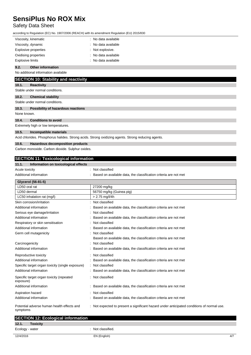## Safety Data Sheet

|             |                                                  | according to Regulation (EC) No. 1907/2006 (REACH) with its amendment Regulation (EU) 2015/830     |
|-------------|--------------------------------------------------|----------------------------------------------------------------------------------------------------|
|             | Viscosity, kinematic                             | : No data available                                                                                |
|             | Viscosity, dynamic                               | No data available                                                                                  |
|             | <b>Explosive properties</b>                      | Not explosive.                                                                                     |
|             | Oxidising properties                             | : No data available                                                                                |
|             | <b>Explosive limits</b>                          | : No data available                                                                                |
| 9.2.        | <b>Other information</b>                         |                                                                                                    |
|             | No additional information available              |                                                                                                    |
|             | <b>SECTION 10: Stability and reactivity</b>      |                                                                                                    |
| 10.1.       | <b>Reactivity</b>                                |                                                                                                    |
|             | Stable under normal conditions.                  |                                                                                                    |
| 10.2.       | <b>Chemical stability</b>                        |                                                                                                    |
|             | Stable under normal conditions.                  |                                                                                                    |
| 10.3.       | Possibility of hazardous reactions               |                                                                                                    |
| None known. |                                                  |                                                                                                    |
| 10.4.       | <b>Conditions to avoid</b>                       |                                                                                                    |
|             | Extremely high or low temperatures.              |                                                                                                    |
| 10.5.       | Incompatible materials                           |                                                                                                    |
|             |                                                  | Acid chlorides. Phosphorus halides. Strong acids. Strong oxidizing agents. Strong reducing agents. |
| 10.6.       | Hazardous decomposition products                 |                                                                                                    |
|             | Carbon monoxide. Carbon dioxide. Sulphur oxides. |                                                                                                    |
|             |                                                  |                                                                                                    |
|             | <b>SECTION 11: Toxicological information</b>     |                                                                                                    |

#### **11.1. Information on toxicological effects**

Acute toxicity **in the case of the contract of the contract of the contract of the contract of the contract of the contract of the contract of the contract of the contract of the contract of the contract of the contract of** 

Additional information **interest in the classification criteria** are not met classification criteria are not met

| Glycerol (56-81-5)                                     |                                                                                            |
|--------------------------------------------------------|--------------------------------------------------------------------------------------------|
| LD50 oral rat                                          | 27200 mg/kg                                                                                |
| LD50 dermal                                            | 56750 mg/kg (Guinea pig)                                                                   |
| LC50 inhalation rat (mg/l)                             | $> 2.75$ mg/l/4h                                                                           |
| Skin corrosion/irritation                              | : Not classified                                                                           |
| Additional information                                 | Based on available data, the classification criteria are not met                           |
| Serious eye damage/irritation                          | Not classified                                                                             |
| Additional information                                 | Based on available data, the classification criteria are not met                           |
| Respiratory or skin sensitisation                      | : Not classified                                                                           |
| Additional information                                 | : Based on available data, the classification criteria are not met                         |
| Germ cell mutagenicity                                 | : Not classified                                                                           |
|                                                        | Based on available data, the classification criteria are not met                           |
| Carcinogenicity                                        | : Not classified                                                                           |
| Additional information                                 | Based on available data, the classification criteria are not met                           |
| Reproductive toxicity                                  | : Not classified                                                                           |
| Additional information                                 | Based on available data, the classification criteria are not met                           |
| Specific target organ toxicity (single exposure)       | : Not classified                                                                           |
| Additional information                                 | Based on available data, the classification criteria are not met                           |
| Specific target organ toxicity (repeated<br>exposure)  | : Not classified                                                                           |
| Additional information                                 | : Based on available data, the classification criteria are not met                         |
| Aspiration hazard                                      | : Not classified                                                                           |
| Additional information                                 | Based on available data, the classification criteria are not met                           |
| Potential adverse human health effects and<br>symptoms | : Not expected to present a significant hazard under anticipated conditions of normal use. |

| <b>SECTION 12: Ecological information</b> |                   |     |
|-------------------------------------------|-------------------|-----|
| 12.1.<br><b>Toxicity</b>                  |                   |     |
| Ecology - water                           | : Not classified. |     |
| 12/4/2016                                 | EN (English)      | 4/7 |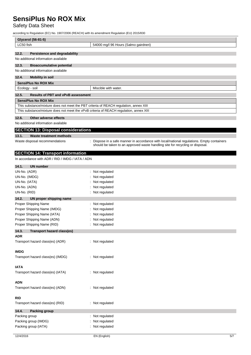## Safety Data Sheet

according to Regulation (EC) No. 1907/2006 (REACH) with its amendment Regulation (EU) 2015/830

| Glycerol (56-81-5)                                                                     |                                                                                          |
|----------------------------------------------------------------------------------------|------------------------------------------------------------------------------------------|
| LC50 fish                                                                              | 54000 mg/l 96 Hours (Salmo gairdneri)                                                    |
|                                                                                        |                                                                                          |
| 12.2.<br><b>Persistence and degradability</b>                                          |                                                                                          |
| No additional information available                                                    |                                                                                          |
| 12.3.<br><b>Bioaccumulative potential</b>                                              |                                                                                          |
| No additional information available                                                    |                                                                                          |
| 12.4.<br><b>Mobility in soil</b>                                                       |                                                                                          |
| <b>SensiPlus No ROX Mix</b>                                                            |                                                                                          |
| Ecology - soil                                                                         | Miscible with water.                                                                     |
| 12.5.<br><b>Results of PBT and vPvB assessment</b>                                     |                                                                                          |
| <b>SensiPlus No ROX Mix</b>                                                            |                                                                                          |
| This substance/mixture does not meet the PBT criteria of REACH regulation, annex XIII  |                                                                                          |
| This substance/mixture does not meet the vPvB criteria of REACH regulation, annex XIII |                                                                                          |
| 12.6.<br>Other adverse effects                                                         |                                                                                          |
| No additional information available                                                    |                                                                                          |
| <b>SECTION 13: Disposal considerations</b>                                             |                                                                                          |
| 13.1.<br><b>Waste treatment methods</b>                                                |                                                                                          |
| Waste disposal recommendations                                                         | Dispose in a safe manner in accordance with local/national regulations. Empty containers |
|                                                                                        | should be taken to an approved waste handling site for recycling or disposal.            |
| <b>SECTION 14: Transport information</b>                                               |                                                                                          |
| In accordance with ADR / RID / IMDG / IATA / ADN                                       |                                                                                          |
|                                                                                        |                                                                                          |
| 14.1.<br><b>UN number</b>                                                              |                                                                                          |
| UN-No. (ADR)<br>UN-No. (IMDG)                                                          | Not regulated<br>Not regulated                                                           |
| UN-No. (IATA)                                                                          | Not regulated                                                                            |
| UN-No. (ADN)                                                                           | Not regulated                                                                            |
| UN-No. (RID)                                                                           | Not regulated                                                                            |
| 14.2.<br>UN proper shipping name                                                       |                                                                                          |
| Proper Shipping Name                                                                   | : Not regulated                                                                          |
| Proper Shipping Name (IMDG)                                                            | Not regulated                                                                            |
| Proper Shipping Name (IATA)                                                            | Not regulated                                                                            |
| Proper Shipping Name (ADN)                                                             | Not regulated                                                                            |
| Proper Shipping Name (RID)                                                             | : Not regulated                                                                          |
| 14.3.<br><b>Transport hazard class(es)</b>                                             |                                                                                          |
| <b>ADR</b>                                                                             |                                                                                          |
| Transport hazard class(es) (ADR)                                                       | : Not regulated                                                                          |
|                                                                                        |                                                                                          |
| <b>IMDG</b>                                                                            |                                                                                          |
| Transport hazard class(es) (IMDG)                                                      | : Not regulated                                                                          |
| <b>IATA</b>                                                                            |                                                                                          |
| Transport hazard class(es) (IATA)                                                      | : Not regulated                                                                          |
|                                                                                        |                                                                                          |
| <b>ADN</b>                                                                             |                                                                                          |
| Transport hazard class(es) (ADN)                                                       | : Not regulated                                                                          |
|                                                                                        |                                                                                          |
| <b>RID</b>                                                                             |                                                                                          |
| Transport hazard class(es) (RID)                                                       | : Not regulated                                                                          |
| 14.4.<br>Packing group                                                                 |                                                                                          |
| Packing group                                                                          | Not regulated                                                                            |
| Packing group (IMDG)                                                                   | Not regulated                                                                            |
| Packing group (IATA)                                                                   | Not regulated                                                                            |
|                                                                                        |                                                                                          |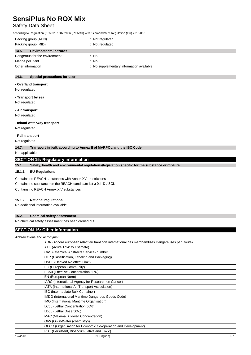## Safety Data Sheet

according to Regulation (EC) No. 1907/2006 (REACH) with its amendment Regulation (EU) 2015/830

| Packing group (ADN)<br>Packing group (RID) | Not regulated<br>Not regulated           |
|--------------------------------------------|------------------------------------------|
| 14.5.<br><b>Environmental hazards</b>      |                                          |
| Dangerous for the environment              | : No                                     |
| Marine pollutant                           | : No                                     |
| Other information                          | : No supplementary information available |
|                                            |                                          |

#### **14.6. Special precautions for user**

#### **- Overland transport**

Not regulated

### **- Transport by sea**

Not regulated **- Air transport**

Not regulated

#### **- Inland waterway transport**

Not regulated

#### **- Rail transport**

Not regulated

**14.7. Transport in bulk according to Annex II of MARPOL and the IBC Code**

Not applicable

#### **SECTION 15: Regulatory information**

**15.1. Safety, health and environmental regulations/legislation specific for the substance or mixture**

#### **15.1.1. EU-Regulations**

Contains no REACH substances with Annex XVII restrictions Contains no substance on the REACH candidate list ≥ 0,1 % / SCL Contains no REACH Annex XIV substances

#### **15.1.2. National regulations**

No additional information available

#### **15.2. Chemical safety assessment**

No chemical safety assessment has been carried out

### **SECTION 16: Other information**

|           | Abbreviations and acronyms:                                                                     |     |
|-----------|-------------------------------------------------------------------------------------------------|-----|
|           | ADR (Accord européen relatif au transport international des marchandises Dangereuses par Route) |     |
|           | ATE (Acute Toxicity Estimate)                                                                   |     |
|           | CAS (Chemical Abstracts Service) number                                                         |     |
|           | CLP (Classification, Labeling and Packaging)                                                    |     |
|           | DNEL (Derived No effect Limit)                                                                  |     |
|           | EC (European Community)                                                                         |     |
|           | EC50 (Effective Concentration 50%)                                                              |     |
|           | EN (European Norm)                                                                              |     |
|           | IARC (International Agency for Research on Cancer)                                              |     |
|           | IATA (International Air Transport Association)                                                  |     |
|           | IBC (Intermediate Bulk Container)                                                               |     |
|           | IMDG (International Maritime Dangerous Goods Code)                                              |     |
|           | IMO (International Maritime Organisation)                                                       |     |
|           | LC50 (Lethal Concentration 50%)                                                                 |     |
|           | LD50 (Lethal Dose 50%)                                                                          |     |
|           | MAC (Maximal Allowed Concentration)                                                             |     |
|           | O/W (Oil-in-Water (chemistry))                                                                  |     |
|           | OECD (Organisation for Economic Co-operation and Development)                                   |     |
|           | PBT (Persistent, Bioaccumulative and Toxic)                                                     |     |
| 12/4/2016 | EN (English)                                                                                    | 6/7 |